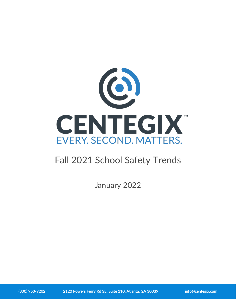

# Fall 2021 School Safety Trends

January 2022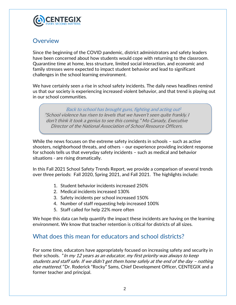

### **Overview**

Since the beginning of the COVID pandemic, district administrators and safety leaders have been concerned about how students would cope with returning to the classroom. Quarantine time at home, less structure, limited social interaction, and economic and family stresses were expected to impact student behavior and lead to significant challenges in the school learning environment.

We have certainly seen a rise in school safety incidents. The daily news headlines remind us that our society is experiencing increased violent behavior, and that trend is playing out in our school communities.

[Back to school has brought guns, fighting and acting out](about:blank)<sup>1</sup> "School violence has risen to levels that we haven't seen quite frankly. I don't think it took a genius to see this coming." Mo Canady, Executive Director of the National Association of School Resource Officers.

While the news focuses on the extreme safety incidents in schools – such as active shooters, neighborhood threats, and others – our experience providing incident response for schools tells us that everyday safety incidents – such as medical and behavior situations - are rising dramatically.

In this Fall 2021 School Safety Trends Report, we provide a comparison of several trends over three periods: Fall 2020, Spring 2021, and Fall 2021. The highlights include:

- 1. Student behavior incidents increased 250%
- 2. Medical incidents increased 130%
- 3. Safety incidents per school increased 150%
- 4. Number of staff requesting help increased 100%
- 5. Staff called for help 22% more often

We hope this data can help quantify the impact these incidents are having on the learning environment. We know that teacher retention is critical for districts of all sizes.

### What does this mean for educators and school districts?

For some time, educators have appropriately focused on increasing safety and security in their schools. "In my 12 years as an educator, my first priority was always to keep students and staff safe. If we didn't get them home safely at the end of the day – nothing else mattered." Dr. Roderick "Rocky" Sams, Chief Development Officer, CENTEGIX and a former teacher and principal.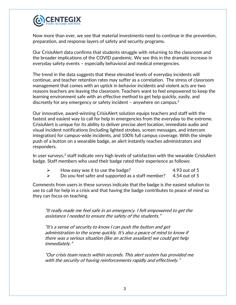

Now more than ever, we see that material investments need to continue in the prevention, preparation, and response layers of safety and security programs.

Our CrisisAlert data confirms that students struggle with returning to the classroom and the broader implications of the COVID pandemic. We see this in the dramatic increase in everyday safety events – especially behavioral and medical emergencies.

The trend in the data suggests that these elevated levels of everyday incidents will continue, and teacher retention rates may suffer as a correlation. The stress of classroom management that comes with an uptick in behavior incidents and violent acts are two reasons teachers are leaving the classroom. Teachers want to feel empowered to keep the learning environment safe with an effective method to get help quickly, easily, and discreetly for any emergency or safety incident – anywhere on campus.<sup>2</sup>

Our innovative, award-winning CrisisAlert solution equips teachers and staff with the fastest and easiest way to call for help in emergencies from the everyday to the extreme. CrisisAlert is unique for its ability to deliver precise alert location, immediate audio and visual incident notifications (including lighted strobes, screen messages, and intercom integration) for campus-wide incidents, and 100% full campus coverage. With the simple push of a button on a wearable badge, an alert instantly reaches administrators and responders.

In user surveys,<sup>3</sup> staff indicate very high levels of satisfaction with the wearable CrisisAlert badge. Staff members who used their badge rated their experience as follows:

- ➢ How easy was it to use the badge? 4.93 out of 5
- $\triangleright$  Do you feel safer and supported as a staff member? 4.54 out of 5

Comments from users in these surveys indicate that the badge is the easiest solution to use to call for help in a crisis and that having the badge contributes to peace of mind so they can focus on teaching.

"It really made me feel safe in an emergency. I felt empowered to get the assistance I needed to ensure the safety of the students."

"It's a sense of security to know I can push the button and get administration to the scene quickly. It's also a peace of mind to know if there was a serious situation (like an active assailant) we could get help immediately."

"Our crisis team reacts within seconds. This alert system has provided me with the security of having reinforcements rapidly and effectively."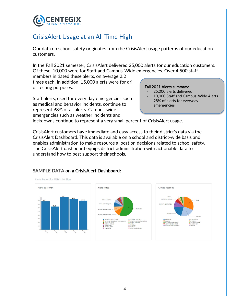

## CrisisAlert Usage at an All Time High

Our data on school safety originates from the CrisisAlert usage patterns of our education customers.

In the Fall 2021 semester, CrisisAlert delivered 25,000 alerts for our education customers. Of these, 10,000 were for Staff and Campus-Wide emergencies. Over 4,500 staff

members initiated these alerts, on average 2.2 times each. In addition, 15,000 alerts were for drill or testing purposes.

Staff alerts, used for every day emergencies such as medical and behavior incidents, continue to represent 98% of all alerts. Campus-wide emergencies such as weather incidents and

#### Fall 2021 Alerts summary:

- 25,000 alerts delivered
- 10,000 Staff and Campus-Wide Alerts
	- 98% of alerts for everyday emergencies

lockdowns continue to represent a very small percent of CrisisAlert usage.

CrisisAlert customers have immediate and easy access to their district's data via the CrisisAlert Dashboard. This data is available on a school and district-wide basis and enables administration to make resource allocation decisions related to school safety. The CrisisAlert dashboard equips district administration with actionable data to understand how to best support their schools.



### SAMPLE DATA on a CrisisAlert Dashboard: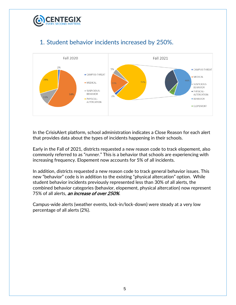

# 1. Student behavior incidents increased by 250%.



In the CrisisAlert platform, school administration indicates a Close Reason for each alert that provides data about the types of incidents happening in their schools.

Early in the Fall of 2021, districts requested a new reason code to track elopement, also commonly referred to as "runner." This is a behavior that schools are experiencing with increasing frequency. Elopement now accounts for 5% of all incidents.

In addition, districts requested a new reason code to track general behavior issues. This new "behavior" code is in addition to the existing "physical altercation" option. While student behavior incidents previously represented less than 30% of all alerts, the combined behavior categories (behavior, elopement, physical altercation) now represent 75% of all alerts, an increase of over 250%.

Campus-wide alerts (weather events, lock-in/lock-down) were steady at a very low percentage of all alerts (2%).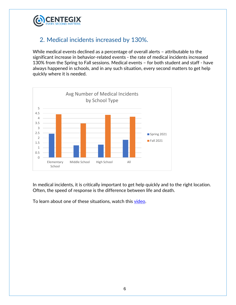

### 2. Medical incidents increased by 130%.

While medical events declined as a percentage of overall alerts – attributable to the significant increase in behavior-related events - the rate of medical incidents increased 130% from the Spring to Fall sessions. Medical events – for both student and staff - have always happened in schools, and in any such situation, every second matters to get help quickly where it is needed.



In medical incidents, it is critically important to get help quickly and to the right location. Often, the speed of response is the difference between life and death.

To learn about one of these situations, watch this [video.](https://www.youtube.com/watch?v=YbQeh4asxKQ)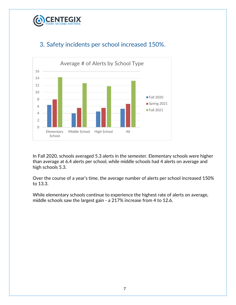



## 3. Safety incidents per school increased 150%.

In Fall 2020, schools averaged 5.3 alerts in the semester. Elementary schools were higher than average at 6.4 alerts per school, while middle schools had 4 alerts on average and high schools 5.3.

Over the course of a year's time, the average number of alerts per school increased 150% to 13.3.

While elementary schools continue to experience the highest rate of alerts on average, middle schools saw the largest gain - a 217% increase from 4 to 12.6.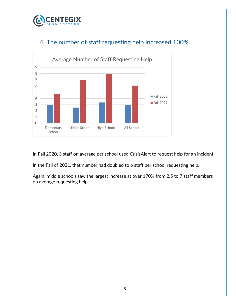



### 4. The number of staff requesting help increased 100%.

In Fall 2020, 3 staff on average per school used CrisisAlert to request help for an incident.

In the Fall of 2021, that number had doubled to 6 staff per school requesting help.

Again, middle schools saw the largest increase at over 170% from 2.5 to 7 staff members on average requesting help.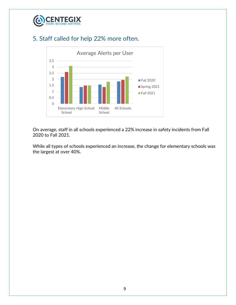

### 5. Staff called for help 22% more often.



On average, staff in all schools experienced a 22% increase in safety incidents from Fall 2020 to Fall 2021.

While all types of schools experienced an increase, the change for elementary schools was the largest at over 40%.